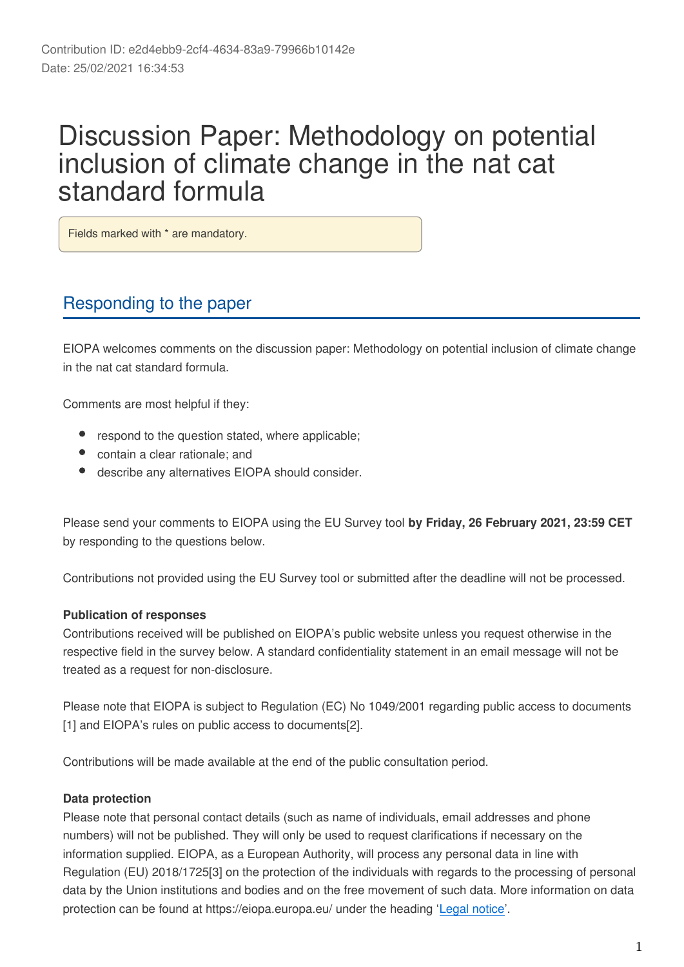# Discussion Paper: Methodology on potential inclusion of climate change in the nat cat standard formula

Fields marked with \* are mandatory.

## Responding to the paper

EIOPA welcomes comments on the discussion paper: Methodology on potential inclusion of climate change in the nat cat standard formula.

Comments are most helpful if they:

- respond to the question stated, where applicable;
- contain a clear rationale; and
- describe any alternatives EIOPA should consider.

Please send your comments to EIOPA using the EU Survey tool **by Friday, 26 February 2021, 23:59 CET** by responding to the questions below.

Contributions not provided using the EU Survey tool or submitted after the deadline will not be processed.

### **Publication of responses**

Contributions received will be published on EIOPA's public website unless you request otherwise in the respective field in the survey below. A standard confidentiality statement in an email message will not be treated as a request for non-disclosure.

Please note that EIOPA is subject to Regulation (EC) No 1049/2001 regarding public access to documents [1] and EIOPA's rules on public access to documents[2].

Contributions will be made available at the end of the public consultation period.

### **Data protection**

Please note that personal contact details (such as name of individuals, email addresses and phone numbers) will not be published. They will only be used to request clarifications if necessary on the information supplied. EIOPA, as a European Authority, will process any personal data in line with Regulation (EU) 2018/1725[3] on the protection of the individuals with regards to the processing of personal data by the Union institutions and bodies and on the free movement of such data. More information on data protection can be found at https://eiopa.europa.eu/ under the heading '[Legal notice](https://www.eiopa.europa.eu/legal-notice_en)'.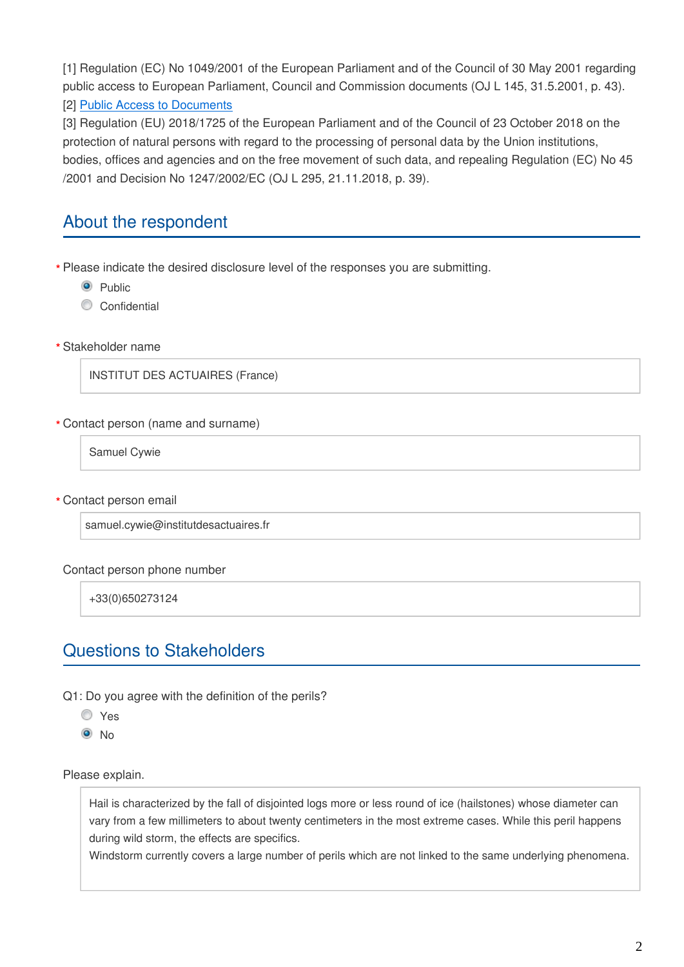[1] Regulation (EC) No 1049/2001 of the European Parliament and of the Council of 30 May 2001 regarding public access to European Parliament, Council and Commission documents (OJ L 145, 31.5.2001, p. 43).

### [2] [Public Access to Documents](https://www.eiopa.europa.eu/sites/default/files/publications/administrative/public-access-eiopa-mb-11-051.pdf)

[3] Regulation (EU) 2018/1725 of the European Parliament and of the Council of 23 October 2018 on the protection of natural persons with regard to the processing of personal data by the Union institutions, bodies, offices and agencies and on the free movement of such data, and repealing Regulation (EC) No 45 /2001 and Decision No 1247/2002/EC (OJ L 295, 21.11.2018, p. 39).

### About the respondent

Please indicate the desired disclosure level of the responses you are submitting. **\***

- **O** Public
- Confidential
- Stakeholder name **\***

INSTITUT DES ACTUAIRES (France)

#### Contact person (name and surname) **\***

Samuel Cywie

Contact person email **\***

samuel.cywie@institutdesactuaires.fr

#### Contact person phone number

+33(0)650273124

### Questions to Stakeholders

Q1: Do you agree with the definition of the perils?

- Yes
- <sup>O</sup>No

Please explain.

Hail is characterized by the fall of disjointed logs more or less round of ice (hailstones) whose diameter can vary from a few millimeters to about twenty centimeters in the most extreme cases. While this peril happens during wild storm, the effects are specifics.

Windstorm currently covers a large number of perils which are not linked to the same underlying phenomena.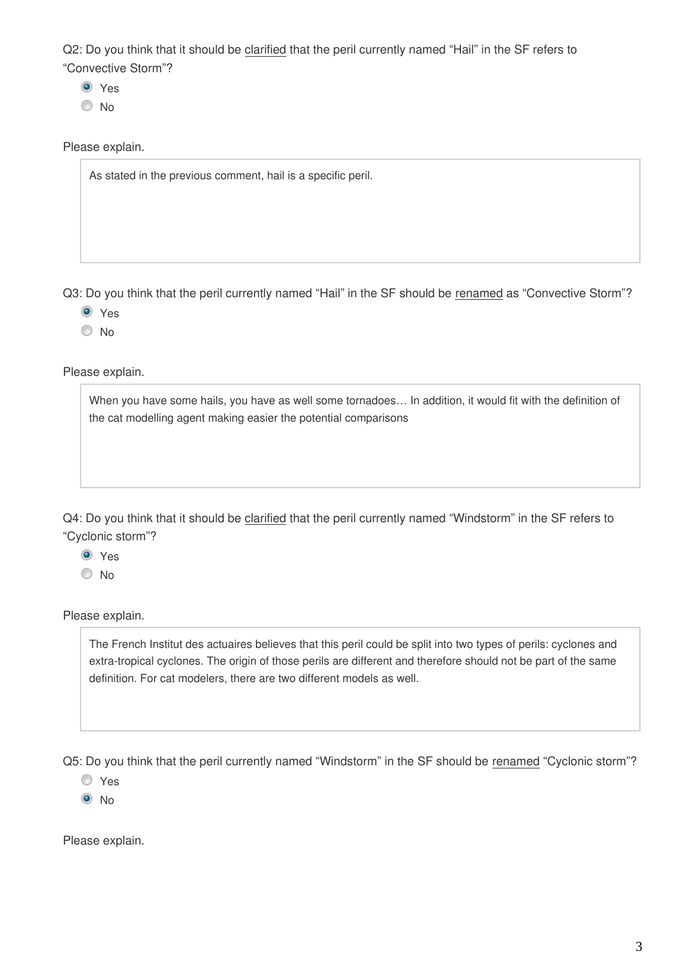Q2: Do you think that it should be clarified that the peril currently named "Hail" in the SF refers to "Convective Storm"?

- **O** Yes
- No

Please explain.

As stated in the previous comment, hail is a specific peril.

Q3: Do you think that the peril currently named "Hail" in the SF should be renamed as "Convective Storm"?

- **O** Yes
- © No

Please explain.

When you have some hails, you have as well some tornadoes… In addition, it would fit with the definition of the cat modelling agent making easier the potential comparisons

Q4: Do you think that it should be clarified that the peril currently named "Windstorm" in the SF refers to "Cyclonic storm"?

**O** Yes

No

Please explain.

The French Institut des actuaires believes that this peril could be split into two types of perils: cyclones and extra-tropical cyclones. The origin of those perils are different and therefore should not be part of the same definition. For cat modelers, there are two different models as well.

Q5: Do you think that the peril currently named "Windstorm" in the SF should be renamed "Cyclonic storm"?

- Yes
- $\odot$  No

Please explain.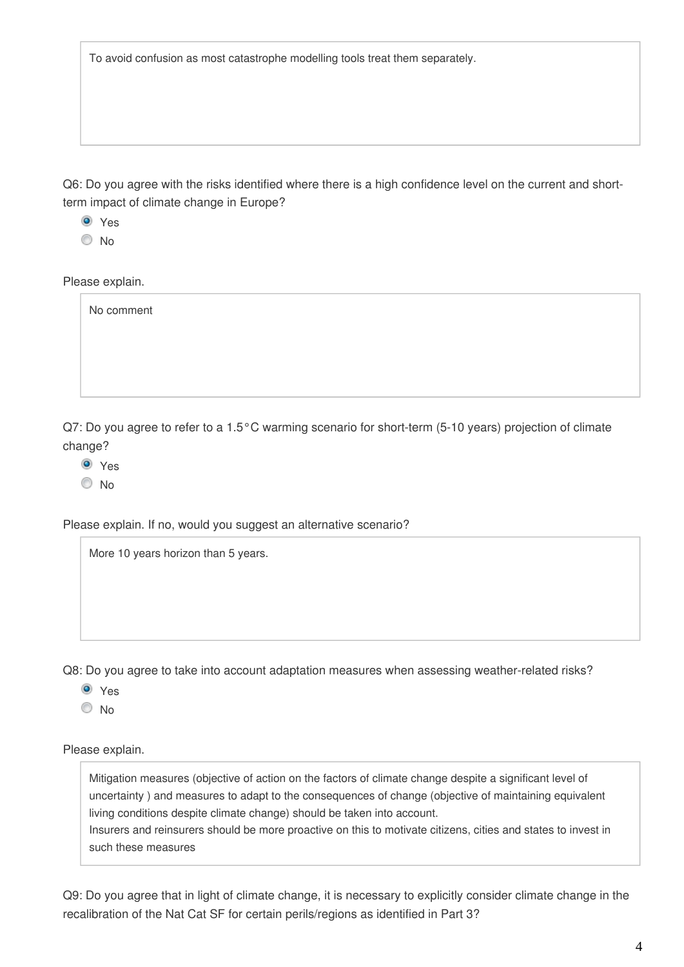To avoid confusion as most catastrophe modelling tools treat them separately.

Q6: Do you agree with the risks identified where there is a high confidence level on the current and shortterm impact of climate change in Europe?

<sup>O</sup> Yes

No

Please explain.

No comment

Q7: Do you agree to refer to a 1.5°C warming scenario for short-term (5-10 years) projection of climate change?

**O** Yes

© No

Please explain. If no, would you suggest an alternative scenario?

More 10 years horizon than 5 years.

Q8: Do you agree to take into account adaptation measures when assessing weather-related risks?

<sup>O</sup> Yes

No

Please explain.

Mitigation measures (objective of action on the factors of climate change despite a significant level of uncertainty ) and measures to adapt to the consequences of change (objective of maintaining equivalent living conditions despite climate change) should be taken into account. Insurers and reinsurers should be more proactive on this to motivate citizens, cities and states to invest in

such these measures

Q9: Do you agree that in light of climate change, it is necessary to explicitly consider climate change in the recalibration of the Nat Cat SF for certain perils/regions as identified in Part 3?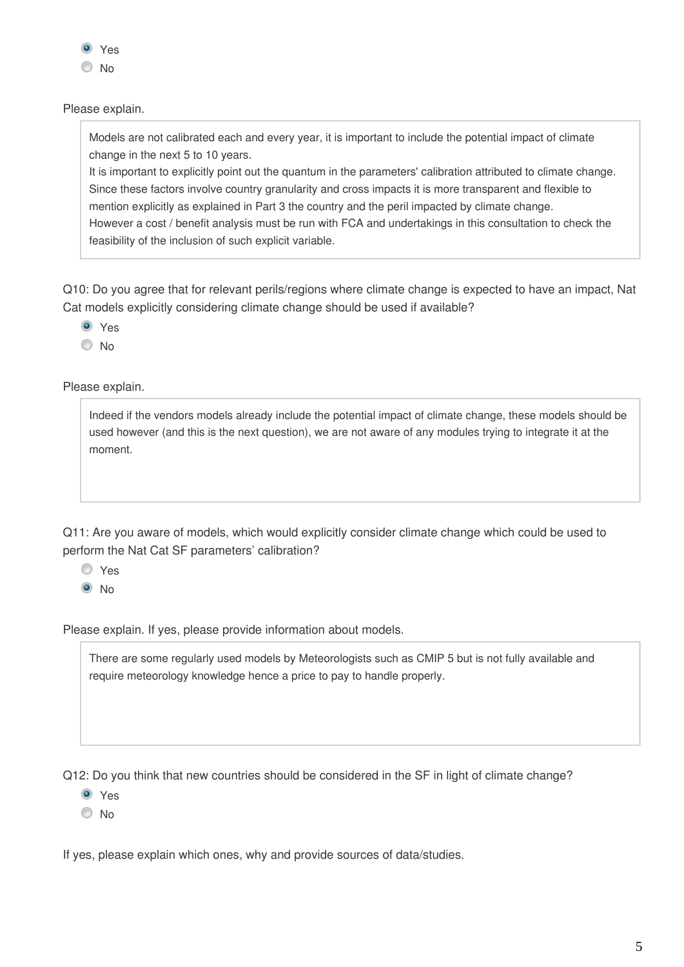

Please explain.

Models are not calibrated each and every year, it is important to include the potential impact of climate change in the next 5 to 10 years.

It is important to explicitly point out the quantum in the parameters' calibration attributed to climate change. Since these factors involve country granularity and cross impacts it is more transparent and flexible to mention explicitly as explained in Part 3 the country and the peril impacted by climate change. However a cost / benefit analysis must be run with FCA and undertakings in this consultation to check the feasibility of the inclusion of such explicit variable.

Q10: Do you agree that for relevant perils/regions where climate change is expected to have an impact, Nat Cat models explicitly considering climate change should be used if available?

**O** Yes

© No

Please explain.

Indeed if the vendors models already include the potential impact of climate change, these models should be used however (and this is the next question), we are not aware of any modules trying to integrate it at the moment.

Q11: Are you aware of models, which would explicitly consider climate change which could be used to perform the Nat Cat SF parameters' calibration?

Yes  $\odot$  No

Please explain. If yes, please provide information about models.

There are some regularly used models by Meteorologists such as CMIP 5 but is not fully available and require meteorology knowledge hence a price to pay to handle properly.

Q12: Do you think that new countries should be considered in the SF in light of climate change?

Yes

© No

If yes, please explain which ones, why and provide sources of data/studies.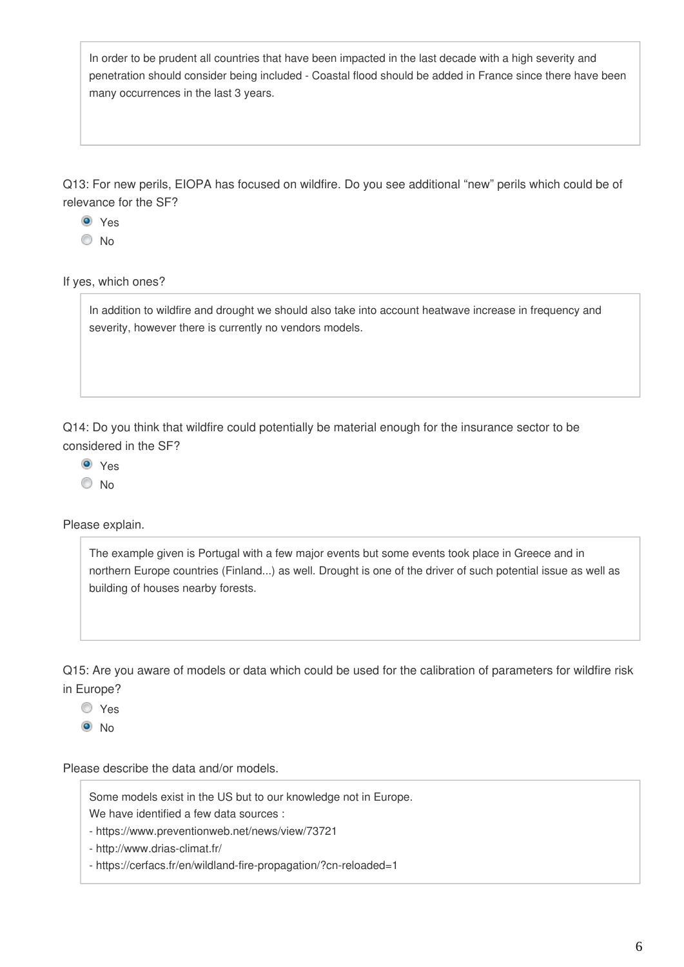In order to be prudent all countries that have been impacted in the last decade with a high severity and penetration should consider being included - Coastal flood should be added in France since there have been many occurrences in the last 3 years.

Q13: For new perils, EIOPA has focused on wildfire. Do you see additional "new" perils which could be of relevance for the SF?

<sup>O</sup> Yes

No

If yes, which ones?

In addition to wildfire and drought we should also take into account heatwave increase in frequency and severity, however there is currently no vendors models.

Q14: Do you think that wildfire could potentially be material enough for the insurance sector to be considered in the SF?

**O** Yes

© No

Please explain.

The example given is Portugal with a few major events but some events took place in Greece and in northern Europe countries (Finland...) as well. Drought is one of the driver of such potential issue as well as building of houses nearby forests.

Q15: Are you aware of models or data which could be used for the calibration of parameters for wildfire risk in Europe?

Yes

 $\odot$  No

Please describe the data and/or models.

Some models exist in the US but to our knowledge not in Europe. We have identified a few data sources :

- https://www.preventionweb.net/news/view/73721

- http://www.drias-climat.fr/

- https://cerfacs.fr/en/wildland-fire-propagation/?cn-reloaded=1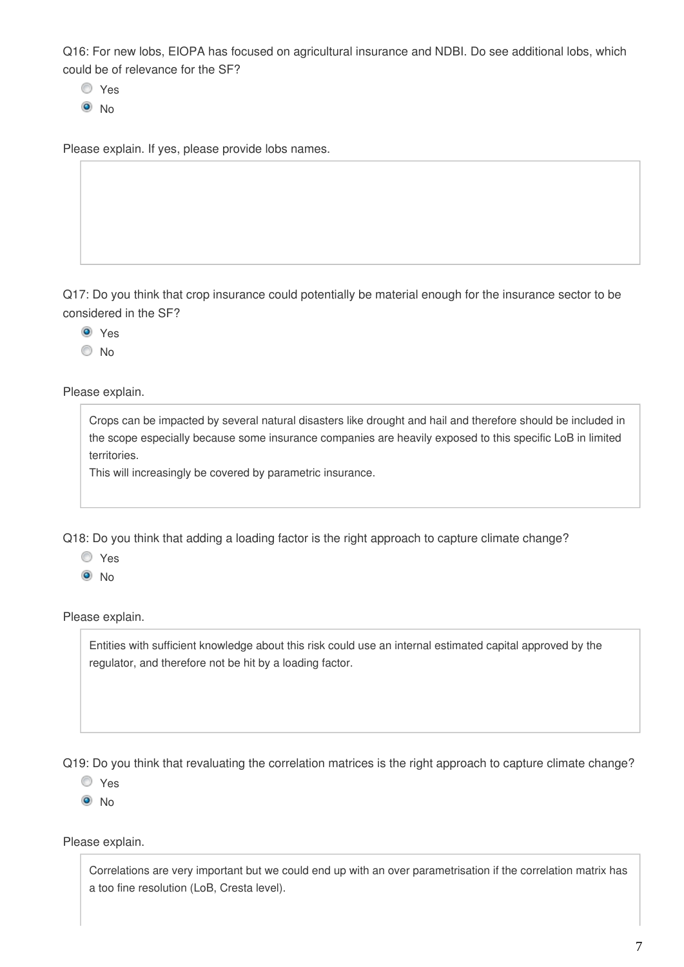Q16: For new lobs, EIOPA has focused on agricultural insurance and NDBI. Do see additional lobs, which could be of relevance for the SF?

- Yes
- <sup>O</sup>No

Please explain. If yes, please provide lobs names.

Q17: Do you think that crop insurance could potentially be material enough for the insurance sector to be considered in the SF?

<sup>O</sup> Yes

No

Please explain.

Crops can be impacted by several natural disasters like drought and hail and therefore should be included in the scope especially because some insurance companies are heavily exposed to this specific LoB in limited territories.

This will increasingly be covered by parametric insurance.

Q18: Do you think that adding a loading factor is the right approach to capture climate change?

Yes

 $\odot$  No

Please explain.

Entities with sufficient knowledge about this risk could use an internal estimated capital approved by the regulator, and therefore not be hit by a loading factor.

Q19: Do you think that revaluating the correlation matrices is the right approach to capture climate change?

Yes

<sup>O</sup>No

Please explain.

Correlations are very important but we could end up with an over parametrisation if the correlation matrix has a too fine resolution (LoB, Cresta level).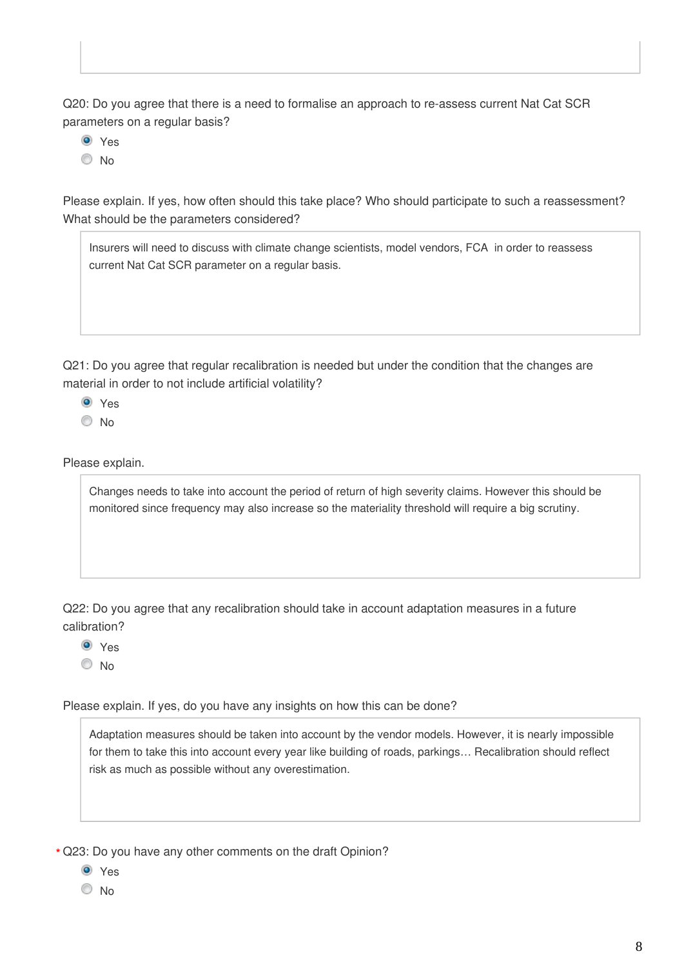Q20: Do you agree that there is a need to formalise an approach to re-assess current Nat Cat SCR parameters on a regular basis?

**O** Yes

O No

Please explain. If yes, how often should this take place? Who should participate to such a reassessment? What should be the parameters considered?



Q21: Do you agree that regular recalibration is needed but under the condition that the changes are material in order to not include artificial volatility?

- **O** Yes
- $\odot$  No

Please explain.

Changes needs to take into account the period of return of high severity claims. However this should be monitored since frequency may also increase so the materiality threshold will require a big scrutiny.

Q22: Do you agree that any recalibration should take in account adaptation measures in a future calibration?

<sup>O</sup> Yes

 $\odot$  No

Please explain. If yes, do you have any insights on how this can be done?

Adaptation measures should be taken into account by the vendor models. However, it is nearly impossible for them to take this into account every year like building of roads, parkings… Recalibration should reflect risk as much as possible without any overestimation.

Q23: Do you have any other comments on the draft Opinion? **\***

- **O** Yes
- © No